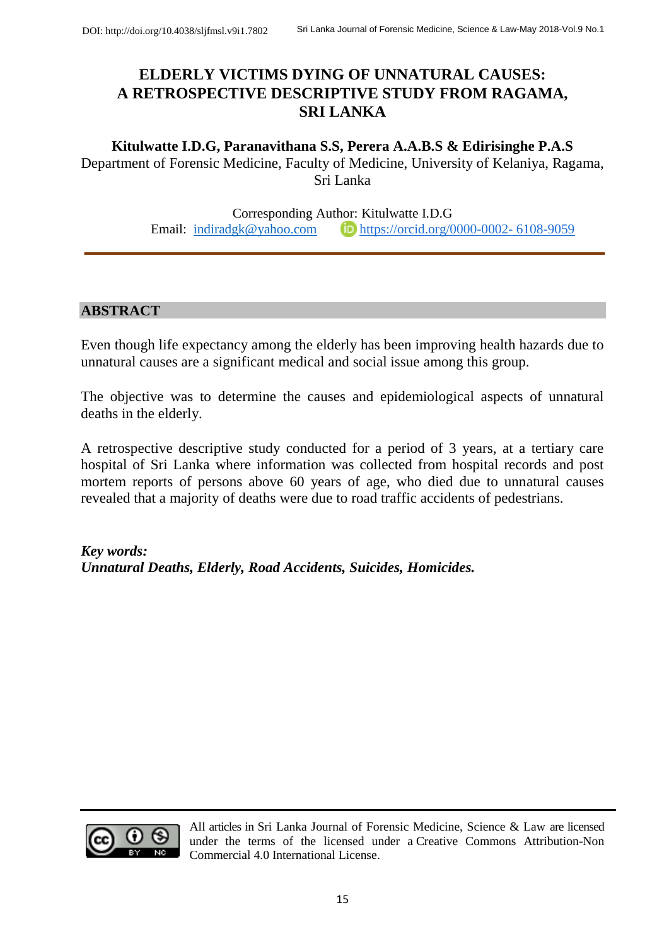# **ELDERLY VICTIMS DYING OF UNNATURAL CAUSES: A RETROSPECTIVE DESCRIPTIVE STUDY FROM RAGAMA, SRI LANKA**

**Kitulwatte I.D.G, Paranavithana S.S, Perera A.A.B.S & Edirisinghe P.A.S** Department of Forensic Medicine, Faculty of Medicine, University of Kelaniya, Ragama, Sri Lanka

> Corresponding Author: Kitulwatte I.D.G Email: [indiradgk@yahoo.com](mailto:indiradgk@yahoo.com)  $\Box$  [https://orcid.org/0000-0002-](https://orcid.org/0000-0002-6108-9059) 6108-9059

## **ABSTRACT**

Even though life expectancy among the elderly has been improving health hazards due to unnatural causes are a significant medical and social issue among this group.

The objective was to determine the causes and epidemiological aspects of unnatural deaths in the elderly.

A retrospective descriptive study conducted for a period of 3 years, at a tertiary care hospital of Sri Lanka where information was collected from hospital records and post mortem reports of persons above 60 years of age, who died due to unnatural causes revealed that a majority of deaths were due to road traffic accidents of pedestrians.

*Key words: Unnatural Deaths, Elderly, Road Accidents, Suicides, Homicides.*



All articles in Sri Lanka Journal of Forensic Medicine, Science & Law are licensed under the terms of the licensed under a [Creative Commons Attribution-Non](http://creativecommons.org/licenses/by-nc/4.0/)  [Commercial 4.0 International License.](http://creativecommons.org/licenses/by-nc/4.0/)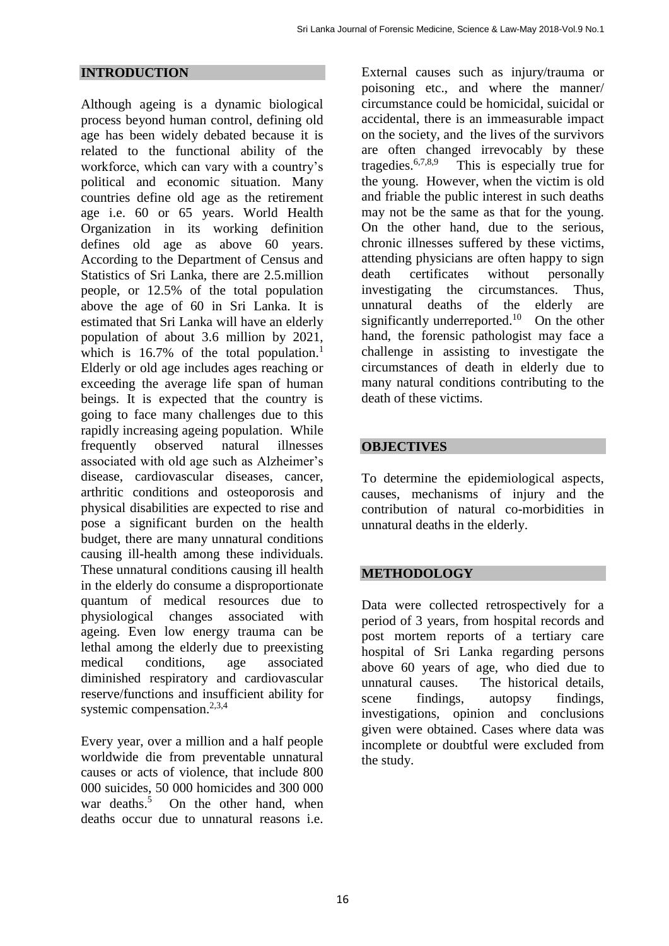## **INTRODUCTION**

Although ageing is a dynamic biological process beyond human control, defining old age has been widely debated because it is related to the functional ability of the workforce, which can vary with a country's political and economic situation. Many countries define old age as the retirement age i.e. 60 or 65 years. World Health Organization in its working definition defines old age as above 60 years. According to the Department of Census and Statistics of Sri Lanka, there are 2.5.million people, or 12.5% of the total population above the age of 60 in Sri Lanka. It is estimated that Sri Lanka will have an elderly population of about 3.6 million by 2021, which is  $16.7\%$  of the total population.<sup>1</sup> Elderly or old age includes ages reaching or exceeding the average life span of human beings. It is expected that the country is going to face many challenges due to this rapidly increasing ageing population. While frequently observed natural illnesses associated with old age such as Alzheimer's disease, cardiovascular diseases, cancer, arthritic conditions and osteoporosis and physical disabilities are expected to rise and pose a significant burden on the health budget, there are many unnatural conditions causing ill-health among these individuals. These unnatural conditions causing ill health in the elderly do consume a disproportionate quantum of medical resources due to physiological changes associated with ageing. Even low energy trauma can be lethal among the elderly due to preexisting medical conditions, age associated diminished respiratory and cardiovascular reserve/functions and insufficient ability for systemic compensation.<sup>2,3,4</sup>

Every year, over a million and a half people worldwide die from preventable unnatural causes or acts of violence, that include 800 000 suicides, 50 000 homicides and 300 000 war deaths. 5 On the other hand, when deaths occur due to unnatural reasons i.e.

External causes such as injury/trauma or poisoning etc., and where the manner/ circumstance could be homicidal, suicidal or accidental, there is an immeasurable impact on the society, and the lives of the survivors are often changed irrevocably by these tragedies. 6,7,8,9 This is especially true for the young. However, when the victim is old and friable the public interest in such deaths may not be the same as that for the young. On the other hand, due to the serious, chronic illnesses suffered by these victims, attending physicians are often happy to sign death certificates without personally investigating the circumstances. Thus, unnatural deaths of the elderly are significantly underreported.<sup>10</sup> On the other hand, the forensic pathologist may face a challenge in assisting to investigate the circumstances of death in elderly due to many natural conditions contributing to the death of these victims.

## **OBJECTIVES**

To determine the epidemiological aspects, causes, mechanisms of injury and the contribution of natural co-morbidities in unnatural deaths in the elderly.

## **METHODOLOGY**

Data were collected retrospectively for a period of 3 years, from hospital records and post mortem reports of a tertiary care hospital of Sri Lanka regarding persons above 60 years of age, who died due to unnatural causes. The historical details, scene findings, autopsy findings, investigations, opinion and conclusions given were obtained. Cases where data was incomplete or doubtful were excluded from the study.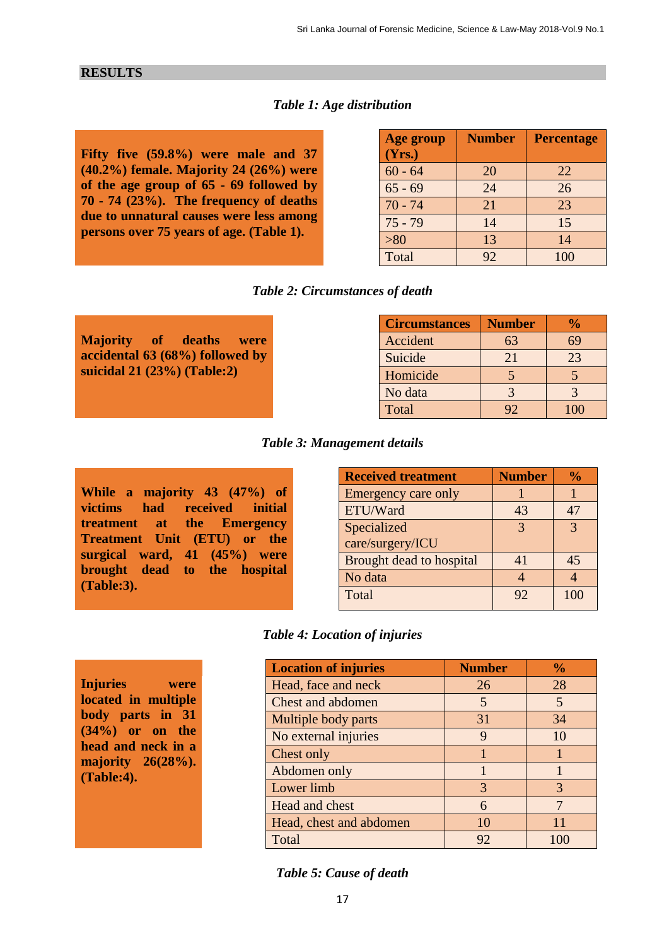#### **RESULTS**

## *Table 1: Age distribution*

**Fifty five (59.8%) were male and 37 (40.2%) female. Majority 24 (26%) were of the age group of 65 - 69 followed by 70 - 74 (23%). The frequency of deaths due to unnatural causes were less among persons over 75 years of age. (Table 1).** 

| <b>Age group</b> | <b>Number</b> | <b>Percentage</b> |
|------------------|---------------|-------------------|
| (Yrs.)           |               |                   |
| $60 - 64$        | 20            | 22                |
| $65 - 69$        | 24            | 26                |
| $70 - 74$        | 21            | 23                |
| $75 - 79$        | 14            | 15                |
| $>80$            | 13            | 14                |
| Total            | 92            | 100               |

#### *Table 2: Circumstances of death*

| <b>Circumstances</b> | <b>Number</b> | $\%$ |  |
|----------------------|---------------|------|--|
| Accident             | 63            | 69   |  |
| Suicide              | 21            | 23   |  |
| Homicide             |               |      |  |
| No data              |               |      |  |
| Total                | 92            | 100  |  |

#### *Table 3: Management details*

**While a majority 43 (47%) of victims had received initial treatment at the Emergency Treatment Unit (ETU) or the surgical ward, 41 (45%) were brought dead to the hospital (Table:3).** 

**Injuries were located in multiple body parts in 31 (34%) or on the head and neck in a majority 26(28%).** 

**(Table:4).** 

**Majority of deaths were accidental 63 (68%) followed by suicidal 21 (23%) (Table:2)**

| <b>Received treatment</b> | <b>Number</b> | $\frac{0}{0}$ |
|---------------------------|---------------|---------------|
| Emergency care only       |               |               |
| ETU/Ward                  | 43            | 47            |
| Specialized               | 3             | $\mathcal{R}$ |
| care/surgery/ICU          |               |               |
| Brought dead to hospital  | 41            | 45            |
| No data                   |               |               |
| Total                     |               |               |

#### *Table 4: Location of injuries*

| <b>Location of injuries</b> | <b>Number</b> | $\frac{0}{0}$ |
|-----------------------------|---------------|---------------|
| Head, face and neck         | 26            | 28            |
| <b>Chest and abdomen</b>    | 5             | 5             |
| Multiple body parts         | 31            | 34            |
| No external injuries        | 9             | 10            |
| Chest only                  |               |               |
| Abdomen only                |               |               |
| Lower limb                  | 3             | 3             |
| Head and chest              | 6             | 7             |
| Head, chest and abdomen     | 10            | 11            |
| Total                       | 92            | 100           |

#### *Table 5: Cause of death*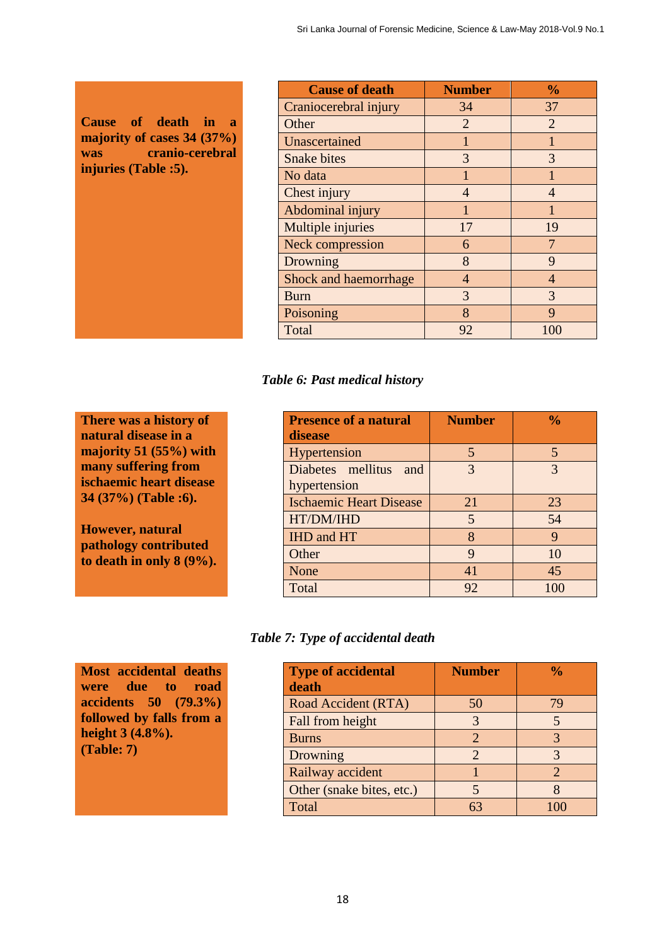**Cause of death in a majority of cases 34 (37%) was cranio-cerebral injuries (Table :5).** 

| <b>Cause of death</b>        | <b>Number</b>  | $\frac{0}{0}$  |
|------------------------------|----------------|----------------|
| Craniocerebral injury        | 34             | 37             |
| Other                        | $\overline{2}$ | $\overline{2}$ |
| Unascertained                |                | 1              |
| <b>Snake bites</b>           | 3              | 3              |
| No data                      |                |                |
| Chest injury                 | $\overline{4}$ | 4              |
| Abdominal injury             | 1              | 1              |
| Multiple injuries            | 17             | 19             |
| <b>Neck compression</b>      | 6              | 7              |
| Drowning                     | 8              | 9              |
| <b>Shock and haemorrhage</b> | $\overline{4}$ | $\overline{4}$ |
| <b>Burn</b>                  | 3              | 3              |
| Poisoning                    | 8              | 9              |
| Total                        | 92             | 100            |

# *Table 6: Past medical history*

**There was a history of natural disease in a majority 51 (55%) with many suffering from ischaemic heart disease 34 (37%) (Table :6).**

**However, natural pathology contributed to death in only 8 (9%).** 

**Most accidental deaths were due to road accidents 50 (79.3%) followed by falls from a** 

**height 3 (4.8%).** 

**(Table: 7)**

| <b>Presence of a natural</b>   | <b>Number</b> | $\frac{0}{0}$ |  |
|--------------------------------|---------------|---------------|--|
| disease                        |               |               |  |
| Hypertension                   | 5             | 5             |  |
| Diabetes mellitus and          | 3             | 3             |  |
| hypertension                   |               |               |  |
| <b>Ischaemic Heart Disease</b> | 21            | 23            |  |
| HT/DM/IHD                      | 5             | 54            |  |
| IHD and HT                     | 8             | 9             |  |
| Other                          | 9             | 10            |  |
| None                           | 41            | 45            |  |
| Total                          | 92            | 100           |  |

# *Table 7: Type of accidental death*

| <b>Type of accidental</b><br>death | <b>Number</b>         | $\frac{6}{10}$              |
|------------------------------------|-----------------------|-----------------------------|
| Road Accident (RTA)                | 50                    | 79                          |
| Fall from height                   | 3                     |                             |
| <b>Burns</b>                       | $\mathcal{D}_{\cdot}$ |                             |
| Drowning                           | 2                     |                             |
| Railway accident                   |                       | $\mathcal{D}_{\mathcal{A}}$ |
| Other (snake bites, etc.)          |                       |                             |
| Total                              | 63                    |                             |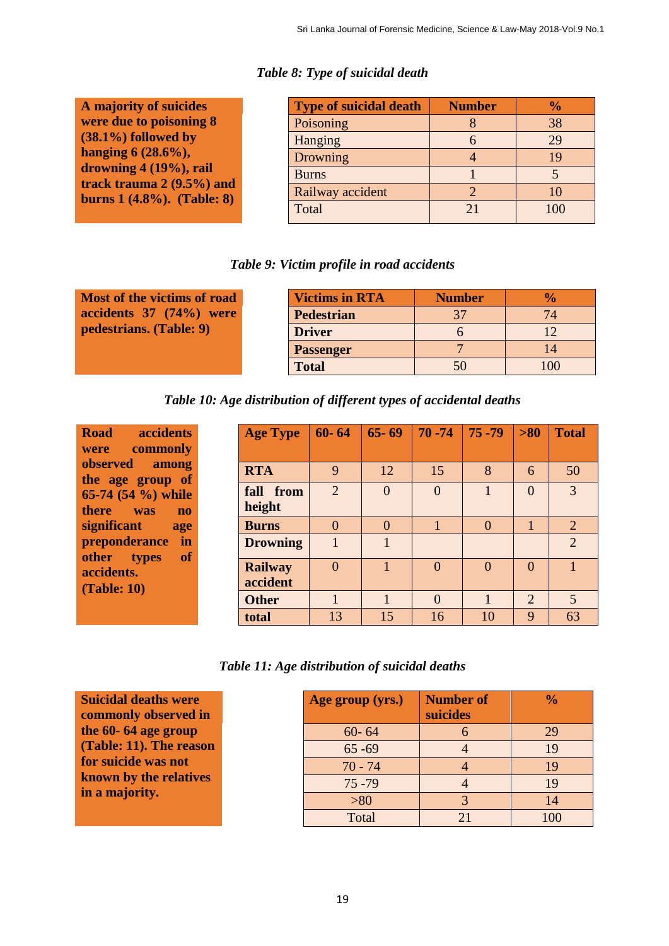|  |  |  | Table 8: Type of suicidal death |  |
|--|--|--|---------------------------------|--|
|--|--|--|---------------------------------|--|

| A majority of suicides        |
|-------------------------------|
| were due to poisoning 8       |
| $(38.1\%)$ followed by        |
| hanging $6(28.6\%)$ ,         |
| drowning 4 (19%), rail        |
| track trauma $2(9.5\%)$ and   |
| burns $1(4.8\%)$ . (Table: 8) |
|                               |

**a**c **(Table: 10)**

| <b>Type of suicidal death</b> | <b>Number</b> | $\frac{0}{0}$ |
|-------------------------------|---------------|---------------|
| Poisoning                     |               | 38            |
| Hanging                       |               | 29            |
| Drowning                      |               |               |
| <b>Burns</b>                  |               |               |
| Railway accident              |               |               |
| Total                         | 21            | 100           |

## *Table 9: Victim profile in road accidents*

| Most of the victims of road | <b>Victims in RTA</b> | <b>Number</b> | $\frac{1}{2}$ |
|-----------------------------|-----------------------|---------------|---------------|
| accidents 37 (74%) were     | <b>Pedestrian</b>     |               |               |
| pedestrians. (Table: 9)     | <b>Driver</b>         |               |               |
|                             | <b>Passenger</b>      |               |               |
|                             | <b>Total</b>          |               | 100           |

*Table 10: Age distribution of different types of accidental deaths*

| <b>Road</b><br><b>accidents</b><br>commonly<br>were                                    | <b>Age Type</b>            | $60 - 64$                   | $65 - 69$ | $ 70 - 74$     | $75 - 79$ | $> 80$         | <b>Total</b>   |
|----------------------------------------------------------------------------------------|----------------------------|-----------------------------|-----------|----------------|-----------|----------------|----------------|
| <b>observed</b><br>among                                                               | <b>RTA</b>                 | 9                           | 12        | 15             | 8         | 6              | 50             |
| the age group of<br>65-74 $(54\%)$ while<br>there<br>was<br>$\mathbf{n}$               | fall from<br>height        | $\mathcal{D}_{\mathcal{A}}$ | $\Omega$  | $\overline{0}$ |           | $\theta$       | 3              |
| significant<br>age                                                                     | <b>Burns</b>               | $\Omega$                    | $\Omega$  |                | $\Omega$  |                | 2              |
| preponderance<br>in<br><b>of</b><br>other<br><b>types</b><br>accidents.<br>(Table: 10) | <b>Drowning</b>            |                             |           |                |           |                | $\overline{2}$ |
|                                                                                        | <b>Railway</b><br>accident | $\theta$                    |           | $\Omega$       | $\theta$  | $\theta$       |                |
|                                                                                        | <b>Other</b>               |                             |           | $\Omega$       |           | $\overline{2}$ | $\overline{5}$ |
|                                                                                        | total                      | 13                          | 15        | 16             | 10        | 9              | 63             |

*Table 11: Age distribution of suicidal deaths*

| <b>Suicidal deaths were</b><br>commonly observed in | Age group (yrs.) | <b>Number of</b><br>suicides | $\frac{0}{0}$ |
|-----------------------------------------------------|------------------|------------------------------|---------------|
| the 60-64 age group                                 | $60 - 64$        |                              | 29            |
| (Table: 11). The reason                             | $65 - 69$        |                              | 19            |
| for suicide was not                                 | $70 - 74$        |                              | 19            |
| known by the relatives<br>in a majority.            | $75 - 79$        |                              | 19            |
|                                                     | $> 80$           |                              | 14            |
|                                                     | Total            | 21                           | 100           |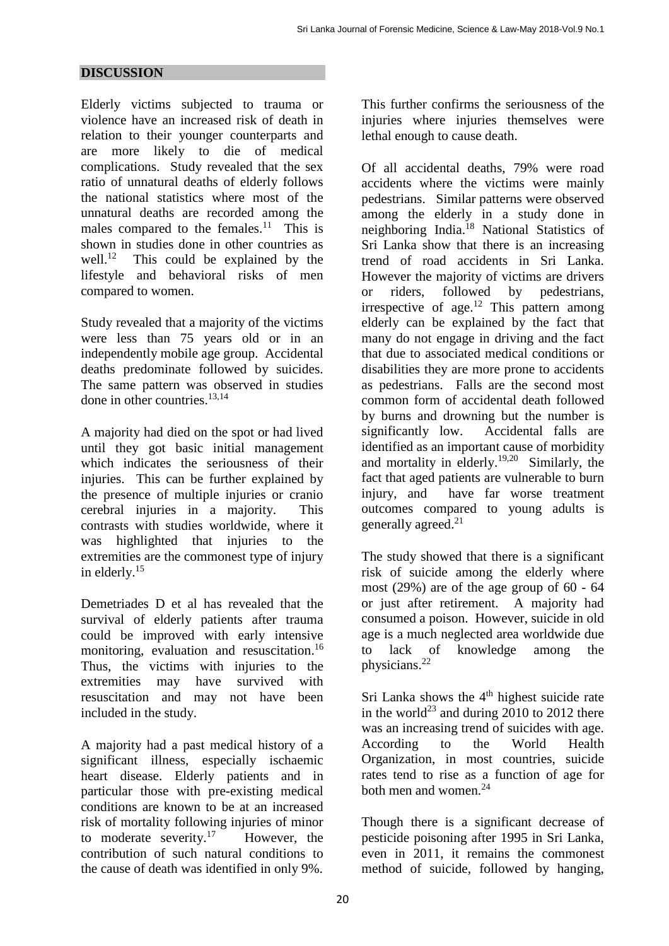## **DISCUSSION**

Elderly victims subjected to trauma or violence have an increased risk of death in relation to their younger counterparts and are more likely to die of medical complications. Study revealed that the sex ratio of unnatural deaths of elderly follows the national statistics where most of the unnatural deaths are recorded among the males compared to the females. $11$  This is shown in studies done in other countries as well. 12 This could be explained by the lifestyle and behavioral risks of men compared to women.

Study revealed that a majority of the victims were less than 75 years old or in an independently mobile age group. Accidental deaths predominate followed by suicides. The same pattern was observed in studies done in other countries. 13,14

A majority had died on the spot or had lived until they got basic initial management which indicates the seriousness of their injuries. This can be further explained by the presence of multiple injuries or cranio cerebral injuries in a majority. This contrasts with studies worldwide, where it was highlighted that injuries to the extremities are the commonest type of injury in elderly. 15

Demetriades D et al has revealed that the survival of elderly patients after trauma could be improved with early intensive monitoring, evaluation and resuscitation. 16 Thus, the victims with injuries to the extremities may have survived with resuscitation and may not have been included in the study.

A majority had a past medical history of a significant illness, especially ischaemic heart disease. Elderly patients and in particular those with pre-existing medical conditions are known to be at an increased risk of mortality following injuries of minor to moderate severity.<sup>17</sup> However, the contribution of such natural conditions to the cause of death was identified in only 9%.

This further confirms the seriousness of the injuries where injuries themselves were lethal enough to cause death.

Of all accidental deaths, 79% were road accidents where the victims were mainly pedestrians. Similar patterns were observed among the elderly in a study done in neighboring India. <sup>18</sup> National Statistics of Sri Lanka show that there is an increasing trend of road accidents in Sri Lanka. However the majority of victims are drivers or riders, followed by pedestrians, irrespective of age.<sup>12</sup> This pattern among elderly can be explained by the fact that many do not engage in driving and the fact that due to associated medical conditions or disabilities they are more prone to accidents as pedestrians. Falls are the second most common form of accidental death followed by burns and drowning but the number is significantly low. Accidental falls are identified as an important cause of morbidity and mortality in elderly. 19,20 Similarly, the fact that aged patients are vulnerable to burn injury, and have far worse treatment outcomes compared to young adults is generally agreed. 21

The study showed that there is a significant risk of suicide among the elderly where most (29%) are of the age group of 60 - 64 or just after retirement. A majority had consumed a poison. However, suicide in old age is a much neglected area worldwide due to lack of knowledge among the physicians. 22

Sri Lanka shows the  $4<sup>th</sup>$  highest suicide rate in the world<sup>23</sup> and during  $2010$  to 2012 there was an increasing trend of suicides with age. According to the World Health Organization, in most countries, suicide rates tend to rise as a function of age for both men and women.<sup>24</sup>

Though there is a significant decrease of pesticide poisoning after 1995 in Sri Lanka, even in 2011, it remains the commonest method of suicide, followed by hanging,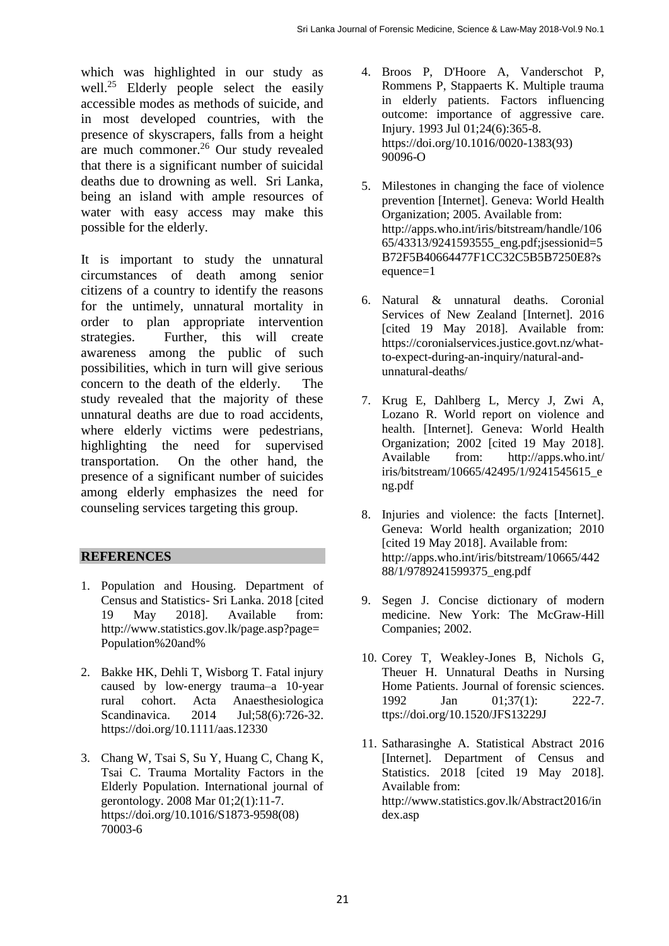which was highlighted in our study as well.<sup>25</sup> Elderly people select the easily accessible modes as methods of suicide, and in most developed countries, with the presence of skyscrapers, falls from a height are much commoner.<sup>26</sup> Our study revealed that there is a significant number of suicidal deaths due to drowning as well. Sri Lanka, being an island with ample resources of water with easy access may make this possible for the elderly.

It is important to study the unnatural circumstances of death among senior citizens of a country to identify the reasons for the untimely, unnatural mortality in order to plan appropriate intervention strategies. Further, this will create awareness among the public of such possibilities, which in turn will give serious concern to the death of the elderly. The study revealed that the majority of these unnatural deaths are due to road accidents, where elderly victims were pedestrians, highlighting the need for supervised transportation. On the other hand, the presence of a significant number of suicides among elderly emphasizes the need for counseling services targeting this group.

## **REFERENCES**

- 1. Population and Housing. Department of Census and Statistics- Sri Lanka. 2018 [cited 19 May 2018]. Available from: http://www.statistics.gov.lk/page.asp?page= Population%20and%
- 2. Bakke HK, Dehli T, Wisborg T. Fatal injury caused by low‐energy trauma–a 10‐year rural cohort. Acta Anaesthesiologica Scandinavica. 2014 Jul;58(6):726-32. https://doi.org/10.1111/aas.12330
- 3. Chang W, Tsai S, Su Y, Huang C, Chang K, Tsai C. Trauma Mortality Factors in the Elderly Population. International journal of gerontology. 2008 Mar 01;2(1):11-7. [https://doi.org/10.1016/S1873-9598\(08\)](https://doi.org/10.1016/S1873-9598(08)%2070003-6)  [70003-6](https://doi.org/10.1016/S1873-9598(08)%2070003-6)
- 4. Broos P, D'Hoore A, Vanderschot P, Rommens P, Stappaerts K. Multiple trauma in elderly patients. Factors influencing outcome: importance of aggressive care. Injury. 1993 Jul 01;24(6):365-8. [https://doi.org/10.1016/0020-1383\(93\)](https://doi.org/10.1016/0020-1383(93)%2090096-O)  [90096-O](https://doi.org/10.1016/0020-1383(93)%2090096-O)
- 5. Milestones in changing the face of violence prevention [Internet]. Geneva: World Health Organization; 2005. Available from: http://apps.who.int/iris/bitstream/handle/106 65/43313/9241593555 eng.pdf:jsessionid=5 B72F5B40664477F1CC32C5B5B7250E8?s equence=1
- 6. Natural & unnatural deaths. Coronial Services of New Zealand [Internet]. 2016 [cited 19 May 2018]. Available from: https://coronialservices.justice.govt.nz/whatto-expect-during-an-inquiry/natural-andunnatural-deaths/
- 7. Krug E, Dahlberg L, Mercy J, Zwi A, Lozano R. World report on violence and health. [Internet]. Geneva: World Health Organization; 2002 [cited 19 May 2018]. Available from: <http://apps.who.int/> iris/bitstream/10665/42495/1/9241545615\_e ng.pdf
- 8. Injuries and violence: the facts [Internet]. Geneva: World health organization; 2010 [cited 19 May 2018]. Available from: [http://apps.who.int/iris/bitstream/10665/4](http://apps.who.int/iris/bitstream/10665/)42 88/1/9789241599375\_eng.pdf
- 9. Segen J. Concise dictionary of modern medicine. New York: The McGraw-Hill Companies; 2002.
- 10. Corey T, Weakley-Jones B, Nichols G, Theuer H. Unnatural Deaths in Nursing Home Patients. Journal of forensic sciences. 1992 Jan 01:37(1): 222-7. ttps://doi.org/10.1520/JFS13229J
- 11. Satharasinghe A. Statistical Abstract 2016 [Internet]. Department of Census and Statistics. 2018 [cited 19 May 2018]. Available from: http://www.statistics.gov.lk/Abstract2016/in dex.asp